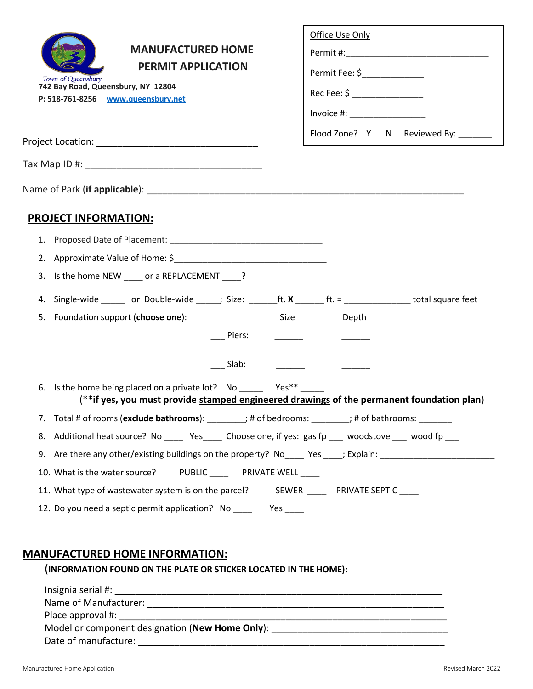|    | <b>MANUFACTURED HOME</b><br><b>PERMIT APPLICATION</b><br>Town of Queensbury<br>742 Bay Road, Queensbury, NY 12804<br>P: 518-761-8256 www.queensbury.net       | Office Use Only<br>Permit Fee: \$_______________<br>Rec Fee: \$ __________________<br>$Invoice #: __________$ |
|----|---------------------------------------------------------------------------------------------------------------------------------------------------------------|---------------------------------------------------------------------------------------------------------------|
|    |                                                                                                                                                               | Flood Zone? Y N Reviewed By: ______                                                                           |
|    |                                                                                                                                                               |                                                                                                               |
|    |                                                                                                                                                               |                                                                                                               |
|    | <b>PROJECT INFORMATION:</b>                                                                                                                                   |                                                                                                               |
|    |                                                                                                                                                               |                                                                                                               |
|    |                                                                                                                                                               |                                                                                                               |
| 3. | Is the home NEW _____ or a REPLACEMENT _____?                                                                                                                 |                                                                                                               |
| 4. | Single-wide _____ or Double-wide ____; Size: ______ft. $X$ ______ ft. = _______________ total square feet                                                     |                                                                                                               |
|    | 5. Foundation support (choose one):<br>Size                                                                                                                   | Depth                                                                                                         |
|    | Piers:                                                                                                                                                        |                                                                                                               |
|    | Slab:                                                                                                                                                         |                                                                                                               |
|    | 6. Is the home being placed on a private lot? No _________ Yes**<br>(**if yes, you must provide stamped engineered drawings of the permanent foundation plan) |                                                                                                               |
| 7. | Total # of rooms (exclude bathrooms): ________; # of bedrooms: _______; # of bathrooms: _______                                                               |                                                                                                               |
| 8. | Additional heat source? No ______ Yes_____ Choose one, if yes: gas fp ____ woodstove ____ wood fp ___                                                         |                                                                                                               |
| 9. | Are there any other/existing buildings on the property? No____ Yes ____; Explain: ____________________________                                                |                                                                                                               |
|    | PUBLIC __________ PRIVATE WELL _____<br>10. What is the water source?                                                                                         |                                                                                                               |
|    | 11. What type of wastewater system is on the parcel? SEWER ______ PRIVATE SEPTIC ____                                                                         |                                                                                                               |
|    | 12. Do you need a septic permit application? No _________ Yes _____                                                                                           |                                                                                                               |

### **MANUFACTURED HOME INFORMATION:**

(**INFORMATION FOUND ON THE PLATE OR STICKER LOCATED IN THE HOME):**

| Insignia serial #:                              |
|-------------------------------------------------|
| Name of Manufacturer:                           |
| Place approval #:                               |
| Model or component designation (New Home Only): |
| Date of manufacture:                            |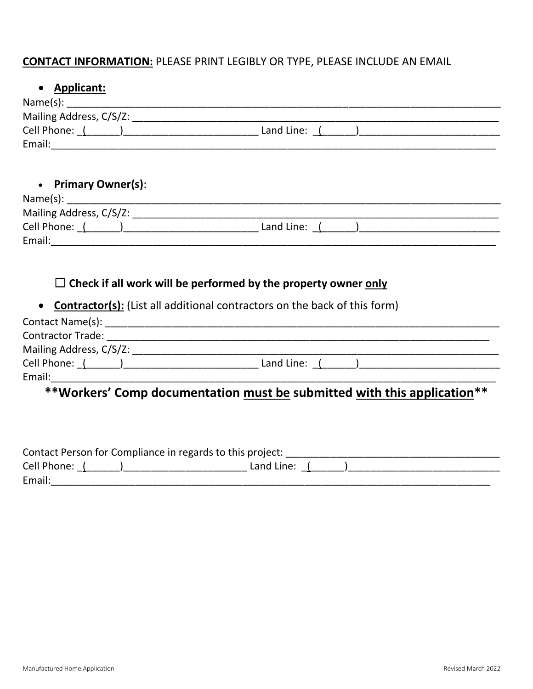### **CONTACT INFORMATION:** PLEASE PRINT LEGIBLY OR TYPE, PLEASE INCLUDE AN EMAIL

### **Applicant:**

| Name(s):                |            |  |
|-------------------------|------------|--|
| Mailing Address, C/S/Z: |            |  |
| Cell Phone:             | Land Line: |  |
| Email:                  |            |  |

**Primary Owner(s)**:

| Name(s):                |            |
|-------------------------|------------|
| Mailing Address, C/S/Z: |            |
| Cell Phone:             | Land Line: |
| Email:                  |            |

### ☐ **Check if all work will be performed by the property owner only**

**Contractor(s):** (List all additional contractors on the back of this form)

| Contact Name(s):         |              |  |
|--------------------------|--------------|--|
| <b>Contractor Trade:</b> |              |  |
| Mailing Address, C/S/Z:  |              |  |
| Cell Phone:              | Land Line: ( |  |
| Email:                   |              |  |

# **\*\*Workers' Comp documentation must be submitted with this application\*\***

|             | Contact Person for Compliance in regards to this project: |  |
|-------------|-----------------------------------------------------------|--|
| Cell Phone: | Land Line:                                                |  |
| Email:      |                                                           |  |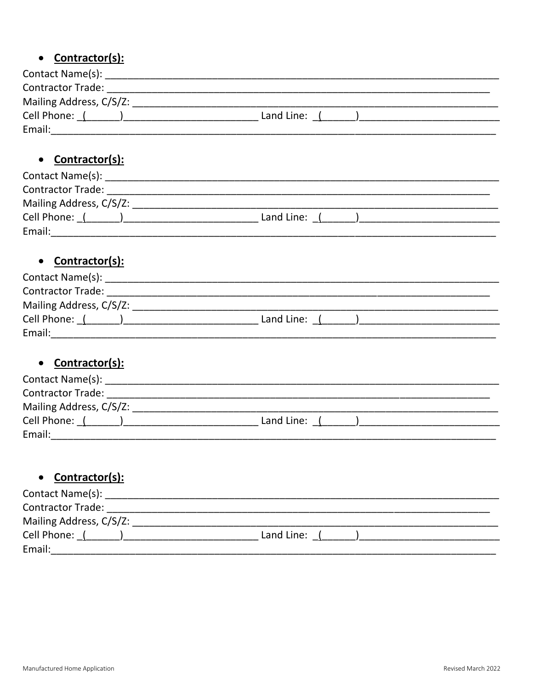### Contractor(s):  $\bullet$

| Contact Name(s):         |              |  |
|--------------------------|--------------|--|
| <b>Contractor Trade:</b> |              |  |
| Mailing Address, C/S/Z:  |              |  |
| Cell Phone: (            | Land Line: ( |  |
| Email:                   |              |  |

### • Contractor(s):

| Contact Name(s):         |            |  |
|--------------------------|------------|--|
| <b>Contractor Trade:</b> |            |  |
| Mailing Address, C/S/Z:  |            |  |
| Cell Phone: (            | Land Line: |  |
| Email:                   |            |  |

### • Contractor(s):

| Contact Name(s):         |              |  |
|--------------------------|--------------|--|
| <b>Contractor Trade:</b> |              |  |
| Mailing Address, C/S/Z:  |              |  |
| Cell Phone:              | Land Line: ( |  |
| Email:                   |              |  |

#### Contractor(s):  $\bullet$

| Contact Name(s):         |              |  |
|--------------------------|--------------|--|
| <b>Contractor Trade:</b> |              |  |
| Mailing Address, C/S/Z:  |              |  |
| Cell Phone: (            | Land Line: ( |  |
| Email:                   |              |  |

## • Contractor(s):

| Contact Name(s):         |            |  |
|--------------------------|------------|--|
| <b>Contractor Trade:</b> |            |  |
| Mailing Address, C/S/Z:  |            |  |
| Cell Phone:              | Land Line: |  |
| Email:                   |            |  |